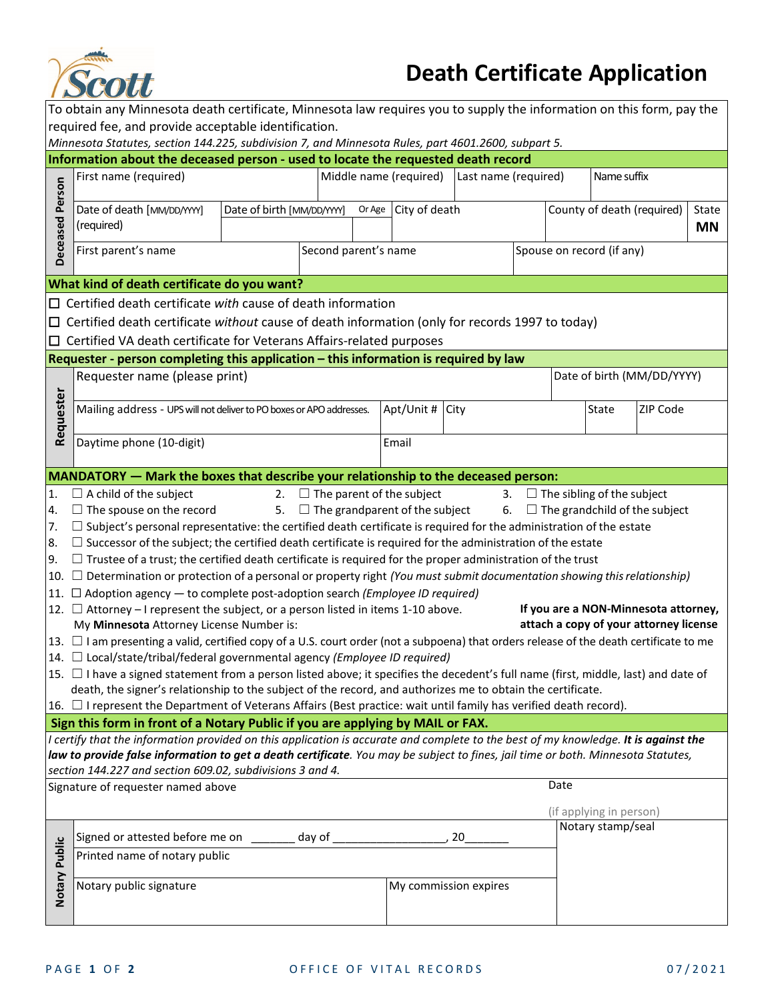

## **Death Certificate Application**

| To obtain any Minnesota death certificate, Minnesota law requires you to supply the information on this form, pay the                                                                                                                                                   |                                                                                                                                         |  |                            |  |                                     |                           |  |                            |                                      |                                        |  |  |
|-------------------------------------------------------------------------------------------------------------------------------------------------------------------------------------------------------------------------------------------------------------------------|-----------------------------------------------------------------------------------------------------------------------------------------|--|----------------------------|--|-------------------------------------|---------------------------|--|----------------------------|--------------------------------------|----------------------------------------|--|--|
| required fee, and provide acceptable identification.                                                                                                                                                                                                                    |                                                                                                                                         |  |                            |  |                                     |                           |  |                            |                                      |                                        |  |  |
| Minnesota Statutes, section 144.225, subdivision 7, and Minnesota Rules, part 4601.2600, subpart 5.<br>Information about the deceased person - used to locate the requested death record                                                                                |                                                                                                                                         |  |                            |  |                                     |                           |  |                            |                                      |                                        |  |  |
|                                                                                                                                                                                                                                                                         | First name (required)                                                                                                                   |  |                            |  |                                     | Last name (required)      |  |                            | Name suffix                          |                                        |  |  |
| Person                                                                                                                                                                                                                                                                  |                                                                                                                                         |  | Middle name (required)     |  |                                     |                           |  |                            |                                      |                                        |  |  |
|                                                                                                                                                                                                                                                                         | Date of death [MM/DD/YYY]<br>Date of birth [MM/DD/YYY]                                                                                  |  | Or Age City of death       |  |                                     |                           |  | County of death (required) |                                      | State                                  |  |  |
|                                                                                                                                                                                                                                                                         | (required)                                                                                                                              |  |                            |  |                                     |                           |  |                            |                                      | <b>MN</b>                              |  |  |
|                                                                                                                                                                                                                                                                         |                                                                                                                                         |  |                            |  |                                     |                           |  |                            |                                      |                                        |  |  |
| Deceased                                                                                                                                                                                                                                                                | First parent's name                                                                                                                     |  | Second parent's name       |  |                                     | Spouse on record (if any) |  |                            |                                      |                                        |  |  |
|                                                                                                                                                                                                                                                                         |                                                                                                                                         |  |                            |  |                                     |                           |  |                            |                                      |                                        |  |  |
| What kind of death certificate do you want?<br>$\Box$ Certified death certificate with cause of death information                                                                                                                                                       |                                                                                                                                         |  |                            |  |                                     |                           |  |                            |                                      |                                        |  |  |
|                                                                                                                                                                                                                                                                         |                                                                                                                                         |  |                            |  |                                     |                           |  |                            |                                      |                                        |  |  |
|                                                                                                                                                                                                                                                                         | $\Box$ Certified death certificate without cause of death information (only for records 1997 to today)                                  |  |                            |  |                                     |                           |  |                            |                                      |                                        |  |  |
|                                                                                                                                                                                                                                                                         | $\Box$ Certified VA death certificate for Veterans Affairs-related purposes                                                             |  |                            |  |                                     |                           |  |                            |                                      |                                        |  |  |
|                                                                                                                                                                                                                                                                         | Requester - person completing this application - this information is required by law                                                    |  |                            |  |                                     |                           |  |                            |                                      |                                        |  |  |
|                                                                                                                                                                                                                                                                         | Requester name (please print)                                                                                                           |  | Date of birth (MM/DD/YYYY) |  |                                     |                           |  |                            |                                      |                                        |  |  |
|                                                                                                                                                                                                                                                                         | Mailing address - UPS will not deliver to PO boxes or APO addresses.                                                                    |  |                            |  | Apt/Unit #                          | City                      |  |                            | State                                | ZIP Code                               |  |  |
| Requester                                                                                                                                                                                                                                                               |                                                                                                                                         |  |                            |  |                                     |                           |  |                            |                                      |                                        |  |  |
|                                                                                                                                                                                                                                                                         | Daytime phone (10-digit)                                                                                                                |  |                            |  | Email                               |                           |  |                            |                                      |                                        |  |  |
|                                                                                                                                                                                                                                                                         |                                                                                                                                         |  |                            |  |                                     |                           |  |                            |                                      |                                        |  |  |
|                                                                                                                                                                                                                                                                         | MANDATORY - Mark the boxes that describe your relationship to the deceased person:                                                      |  |                            |  |                                     |                           |  |                            |                                      |                                        |  |  |
| 1.                                                                                                                                                                                                                                                                      | $\Box$ A child of the subject                                                                                                           |  |                            |  | 2. $\Box$ The parent of the subject |                           |  |                            | 3. $\Box$ The sibling of the subject |                                        |  |  |
| 4.                                                                                                                                                                                                                                                                      | 5. $\Box$ The grandparent of the subject<br>$\Box$ The spouse on the record<br>6. $\Box$ The grandchild of the subject                  |  |                            |  |                                     |                           |  |                            |                                      |                                        |  |  |
| 7.                                                                                                                                                                                                                                                                      | $\Box$ Subject's personal representative: the certified death certificate is required for the administration of the estate              |  |                            |  |                                     |                           |  |                            |                                      |                                        |  |  |
| 8.                                                                                                                                                                                                                                                                      | $\Box$ Successor of the subject; the certified death certificate is required for the administration of the estate                       |  |                            |  |                                     |                           |  |                            |                                      |                                        |  |  |
| 9.                                                                                                                                                                                                                                                                      | $\Box$ Trustee of a trust; the certified death certificate is required for the proper administration of the trust                       |  |                            |  |                                     |                           |  |                            |                                      |                                        |  |  |
|                                                                                                                                                                                                                                                                         | 10. $\Box$ Determination or protection of a personal or property right (You must submit documentation showing this relationship)        |  |                            |  |                                     |                           |  |                            |                                      |                                        |  |  |
|                                                                                                                                                                                                                                                                         | 11. $\Box$ Adoption agency $-$ to complete post-adoption search ( <i>Employee ID required</i> )                                         |  |                            |  |                                     |                           |  |                            |                                      |                                        |  |  |
|                                                                                                                                                                                                                                                                         | 12. $\Box$ Attorney – I represent the subject, or a person listed in items 1-10 above.                                                  |  |                            |  |                                     |                           |  |                            |                                      | If you are a NON-Minnesota attorney,   |  |  |
|                                                                                                                                                                                                                                                                         | My Minnesota Attorney License Number is:                                                                                                |  |                            |  |                                     |                           |  |                            |                                      | attach a copy of your attorney license |  |  |
|                                                                                                                                                                                                                                                                         | 13. □ I am presenting a valid, certified copy of a U.S. court order (not a subpoena) that orders release of the death certificate to me |  |                            |  |                                     |                           |  |                            |                                      |                                        |  |  |
|                                                                                                                                                                                                                                                                         | 14. $\Box$ Local/state/tribal/federal governmental agency (Employee ID required)                                                        |  |                            |  |                                     |                           |  |                            |                                      |                                        |  |  |
|                                                                                                                                                                                                                                                                         | 15. □ I have a signed statement from a person listed above; it specifies the decedent's full name (first, middle, last) and date of     |  |                            |  |                                     |                           |  |                            |                                      |                                        |  |  |
|                                                                                                                                                                                                                                                                         | death, the signer's relationship to the subject of the record, and authorizes me to obtain the certificate.                             |  |                            |  |                                     |                           |  |                            |                                      |                                        |  |  |
|                                                                                                                                                                                                                                                                         | 16. I represent the Department of Veterans Affairs (Best practice: wait until family has verified death record).                        |  |                            |  |                                     |                           |  |                            |                                      |                                        |  |  |
|                                                                                                                                                                                                                                                                         | Sign this form in front of a Notary Public if you are applying by MAIL or FAX.                                                          |  |                            |  |                                     |                           |  |                            |                                      |                                        |  |  |
| I certify that the information provided on this application is accurate and complete to the best of my knowledge. It is against the<br>law to provide false information to get a death certificate. You may be subject to fines, jail time or both. Minnesota Statutes, |                                                                                                                                         |  |                            |  |                                     |                           |  |                            |                                      |                                        |  |  |
|                                                                                                                                                                                                                                                                         | section 144.227 and section 609.02, subdivisions 3 and 4.                                                                               |  |                            |  |                                     |                           |  |                            |                                      |                                        |  |  |
|                                                                                                                                                                                                                                                                         | Signature of requester named above                                                                                                      |  |                            |  |                                     |                           |  | Date                       |                                      |                                        |  |  |
|                                                                                                                                                                                                                                                                         |                                                                                                                                         |  |                            |  |                                     |                           |  |                            |                                      |                                        |  |  |
|                                                                                                                                                                                                                                                                         |                                                                                                                                         |  |                            |  |                                     |                           |  |                            | (if applying in person)              |                                        |  |  |
|                                                                                                                                                                                                                                                                         | Signed or attested before me on _______ day of ____________                                                                             |  |                            |  |                                     | 20                        |  |                            | Notary stamp/seal                    |                                        |  |  |
| Notary Public<br>Printed name of notary public                                                                                                                                                                                                                          |                                                                                                                                         |  |                            |  |                                     |                           |  |                            |                                      |                                        |  |  |
|                                                                                                                                                                                                                                                                         |                                                                                                                                         |  |                            |  |                                     |                           |  |                            |                                      |                                        |  |  |
|                                                                                                                                                                                                                                                                         | Notary public signature                                                                                                                 |  |                            |  | My commission expires               |                           |  |                            |                                      |                                        |  |  |
|                                                                                                                                                                                                                                                                         |                                                                                                                                         |  |                            |  |                                     |                           |  |                            |                                      |                                        |  |  |
|                                                                                                                                                                                                                                                                         |                                                                                                                                         |  |                            |  |                                     |                           |  |                            |                                      |                                        |  |  |